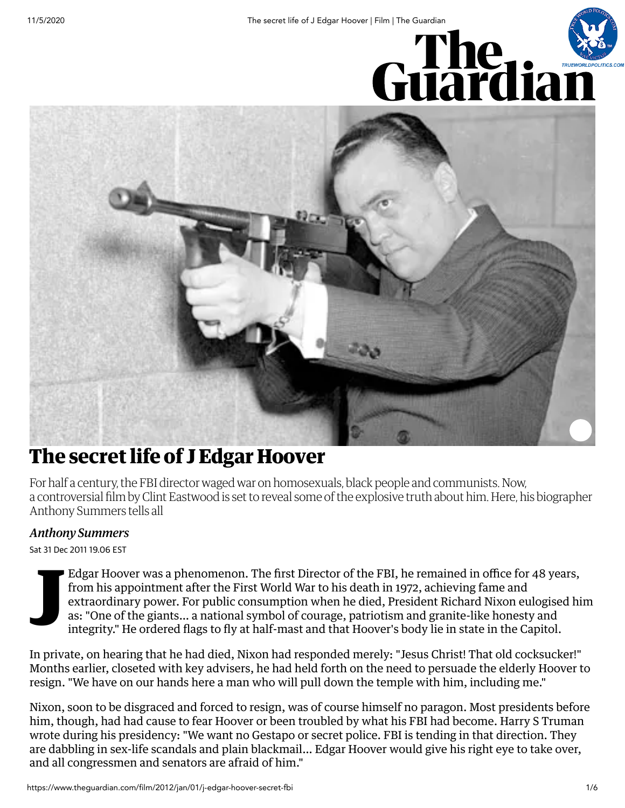# Guardia



# **The secret life of J Edgar Hoover**

For half a century, the FBI director waged war on homosexuals, black people and communists. Now, a controversial film by Clint Eastwood is set to reveal some of the explosive truth about him. Here, his biographer Anthony Summers tells all

# *Anthony Summers*

Sat 31 Dec 2011 19.06 EST

Edfrc<br>
frc<br>
exi<br>
as:<br>
int Edgar Hoover was a phenomenon. The first Director of the [FBI](https://www.theguardian.com/us-news/fbi), he remained in office for 48 years, from his appointment after the First World War to his death in 1972, achieving fame and extraordinary power. For public consumption when he died, President Richard Nixon eulogised him as: "One of the giants… a national symbol of courage, patriotism and granite-like honesty and integrity." He ordered flags to fly at half-mast and that Hoover's body lie in state in the Capitol.

In private, on hearing that he had died, Nixon had responded merely: "Jesus Christ! That old cocksucker!" Months earlier, closeted with key advisers, he had held forth on the need to persuade the elderly Hoover to resign. "We have on our hands here a man who will pull down the temple with him, including me."

Nixon, soon to be disgraced and forced to resign, was of course himself no paragon. Most presidents before him, though, had had cause to fear Hoover or been troubled by what his FBI had become. Harry S Truman wrote during his presidency: "We want no Gestapo or secret police. FBI is tending in that direction. They are dabbling in sex-life scandals and plain blackmail… Edgar Hoover would give his right eye to take over, and all congressmen and senators are afraid of him."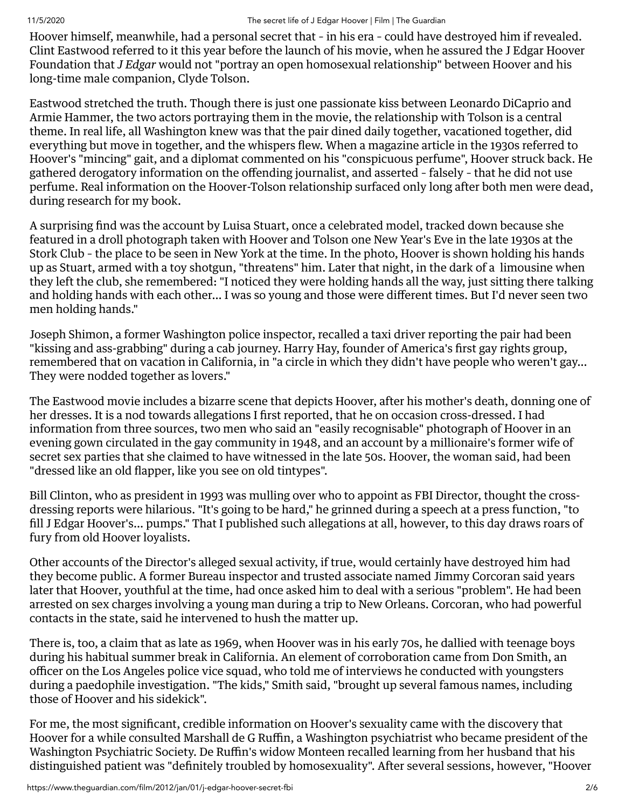Hoover himself, meanwhile, had a personal secret that – in his era – could have destroyed him if revealed. Clint Eastwood referred to it this year before the launch of his movie, when he assured the J Edgar Hoover Foundation that *J Edgar* would not "portray an open homosexual relationship" between Hoover and his long-time male companion, Clyde Tolson.

Eastwood stretched the truth. Though there is just one passionate kiss between Leonardo DiCaprio and Armie Hammer, the two actors portraying them in the movie, the relationship with Tolson is a central theme. In real life, all Washington knew was that the pair dined daily together, vacationed together, did everything but move in together, and the whispers flew. When a magazine article in the 1930s referred to Hoover's "mincing" gait, and a diplomat commented on his "conspicuous perfume", Hoover struck back. He gathered derogatory information on the offending journalist, and asserted – falsely – that he did not use perfume. Real information on the Hoover-Tolson relationship surfaced only long after both men were dead, during research for my book.

A surprising find was the account by Luisa Stuart, once a celebrated model, tracked down because she featured in a droll photograph taken with Hoover and Tolson one New Year's Eve in the late 1930s at the Stork Club – the place to be seen in New York at the time. In the photo, Hoover is shown holding his hands up as Stuart, armed with a toy shotgun, "threatens" him. Later that night, in the dark of a limousine when they left the club, she remembered: "I noticed they were holding hands all the way, just sitting there talking and holding hands with each other… I was so young and those were different times. But I'd never seen two men holding hands."

Joseph Shimon, a former Washington police inspector, recalled a taxi driver reporting the pair had been "kissing and ass-grabbing" during a cab journey. Harry Hay, founder of America's first gay rights group, remembered that on vacation in California, in "a circle in which they didn't have people who weren't gay… They were nodded together as lovers."

The Eastwood movie includes a bizarre scene that depicts Hoover, after his mother's death, donning one of her dresses. It is a nod towards allegations I first reported, that he on occasion cross-dressed. I had information from three sources, two men who said an "easily recognisable" photograph of Hoover in an evening gown circulated in the gay community in 1948, and an account by a millionaire's former wife of secret sex parties that she claimed to have witnessed in the late 50s. Hoover, the woman said, had been "dressed like an old flapper, like you see on old tintypes".

Bill Clinton, who as president in 1993 was mulling over who to appoint as FBI Director, thought the crossdressing reports were hilarious. "It's going to be hard," he grinned during a speech at a press function, "to fill J Edgar Hoover's… pumps." That I published such allegations at all, however, to this day draws roars of fury from old Hoover loyalists.

Other accounts of the Director's alleged sexual activity, if true, would certainly have destroyed him had they become public. A former Bureau inspector and trusted associate named Jimmy Corcoran said years later that Hoover, youthful at the time, had once asked him to deal with a serious "problem". He had been arrested on sex charges involving a young man during a trip to New Orleans. Corcoran, who had powerful contacts in the state, said he intervened to hush the matter up.

There is, too, a claim that as late as 1969, when Hoover was in his early 70s, he dallied with teenage boys during his habitual summer break in California. An element of corroboration came from Don Smith, an officer on the Los Angeles police vice squad, who told me of interviews he conducted with youngsters during a paedophile investigation. "The kids," Smith said, "brought up several famous names, including those of Hoover and his sidekick".

For me, the most significant, credible information on Hoover's sexuality came with the discovery that Hoover for a while consulted Marshall de G Ruffin, a Washington psychiatrist who became president of the Washington Psychiatric Society. De Ruffin's widow Monteen recalled learning from her husband that his distinguished patient was "definitely troubled by homosexuality". After several sessions, however, "Hoover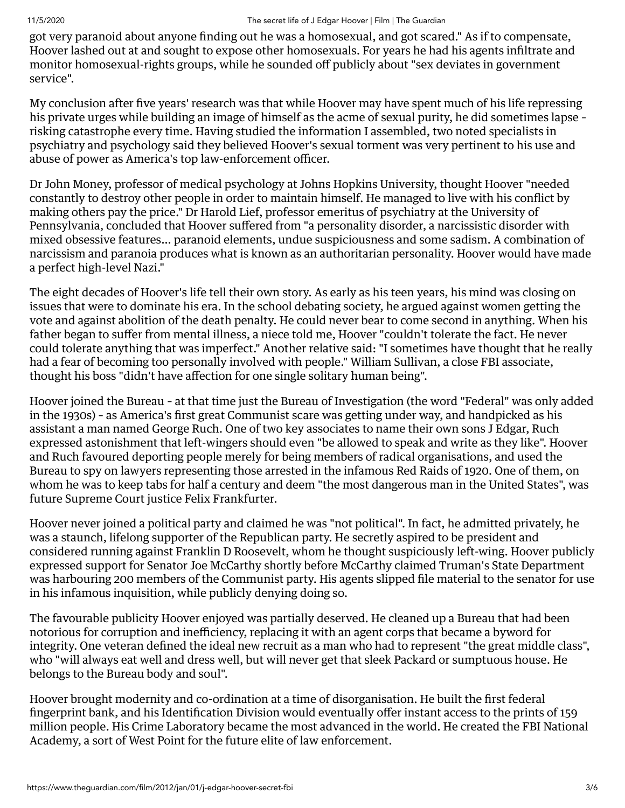got very paranoid about anyone finding out he was a homosexual, and got scared." As if to compensate, Hoover lashed out at and sought to expose other homosexuals. For years he had his agents infiltrate and monitor homosexual-rights groups, while he sounded off publicly about "sex deviates in government service".

My conclusion after five years' research was that while Hoover may have spent much of his life repressing his private urges while building an image of himself as the acme of sexual purity, he did sometimes lapse – risking catastrophe every time. Having studied the information I assembled, two noted specialists in psychiatry and psychology said they believed Hoover's sexual torment was very pertinent to his use and abuse of power as America's top law-enforcement officer.

Dr John Money, professor of medical psychology at Johns Hopkins University, thought Hoover "needed constantly to destroy other people in order to maintain himself. He managed to live with his conflict by making others pay the price." Dr Harold Lief, professor emeritus of psychiatry at the University of Pennsylvania, concluded that Hoover suffered from "a personality disorder, a narcissistic disorder with mixed obsessive features… paranoid elements, undue suspiciousness and some sadism. A combination of narcissism and paranoia produces what is known as an authoritarian personality. Hoover would have made a perfect high-level Nazi."

The eight decades of Hoover's life tell their own story. As early as his teen years, his mind was closing on issues that were to dominate his era. In the school debating society, he argued against women getting the vote and against abolition of the death penalty. He could never bear to come second in anything. When his father began to suffer from mental illness, a niece told me, Hoover "couldn't tolerate the fact. He never could tolerate anything that was imperfect." Another relative said: "I sometimes have thought that he really had a fear of becoming too personally involved with people." William Sullivan, a close FBI associate, thought his boss "didn't have affection for one single solitary human being".

Hoover joined the Bureau – at that time just the Bureau of Investigation (the word "Federal" was only added in the 1930s) – as America's first great Communist scare was getting under way, and handpicked as his assistant a man named George Ruch. One of two key associates to name their own sons J Edgar, Ruch expressed astonishment that left-wingers should even "be allowed to speak and write as they like". Hoover and Ruch favoured deporting people merely for being members of radical organisations, and used the Bureau to spy on lawyers representing those arrested in the infamous Red Raids of 1920. One of them, on whom he was to keep tabs for half a century and deem "the most dangerous man in the United States", was future Supreme Court justice Felix Frankfurter.

Hoover never joined a political party and claimed he was "not political". In fact, he admitted privately, he was a staunch, lifelong supporter of the Republican party. He secretly aspired to be president and considered running against Franklin D Roosevelt, whom he thought suspiciously left-wing. Hoover publicly expressed support for Senator Joe McCarthy shortly before McCarthy claimed Truman's State Department was harbouring 200 members of the Communist party. His agents slipped file material to the senator for use in his infamous inquisition, while publicly denying doing so.

The favourable publicity Hoover enjoyed was partially deserved. He cleaned up a Bureau that had been notorious for corruption and inefficiency, replacing it with an agent corps that became a byword for integrity. One veteran defined the ideal new recruit as a man who had to represent "the great middle class", who "will always eat well and dress well, but will never get that sleek Packard or sumptuous house. He belongs to the Bureau body and soul".

Hoover brought modernity and co-ordination at a time of disorganisation. He built the first federal fingerprint bank, and his Identification Division would eventually offer instant access to the prints of 159 million people. His Crime Laboratory became the most advanced in the world. He created the FBI National Academy, a sort of West Point for the future elite of law enforcement.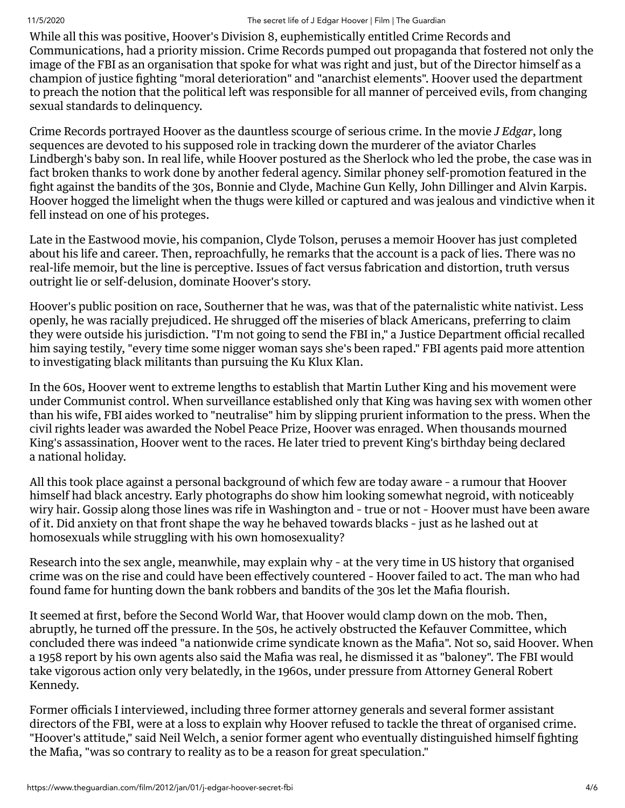While all this was positive, Hoover's Division 8, euphemistically entitled Crime Records and Communications, had a priority mission. Crime Records pumped out propaganda that fostered not only the image of the FBI as an organisation that spoke for what was right and just, but of the Director himself as a champion of justice fighting "moral deterioration" and "anarchist elements". Hoover used the department to preach the notion that the political left was responsible for all manner of perceived evils, from changing sexual standards to delinquency.

Crime Records portrayed Hoover as the dauntless scourge of serious crime. In the movie *J Edgar*, long sequences are devoted to his supposed role in tracking down the murderer of the aviator Charles Lindbergh's baby son. In real life, while Hoover postured as the Sherlock who led the probe, the case was in fact broken thanks to work done by another federal agency. Similar phoney self-promotion featured in the fight against the bandits of the 30s, Bonnie and Clyde, Machine Gun Kelly, John Dillinger and Alvin Karpis. Hoover hogged the limelight when the thugs were killed or captured and was jealous and vindictive when it fell instead on one of his proteges.

Late in the Eastwood movie, his companion, Clyde Tolson, peruses a memoir Hoover has just completed about his life and career. Then, reproachfully, he remarks that the account is a pack of lies. There was no real-life memoir, but the line is perceptive. Issues of fact versus fabrication and distortion, truth versus outright lie or self-delusion, dominate Hoover's story.

Hoover's public position on race, Southerner that he was, was that of the paternalistic white nativist. Less openly, he was racially prejudiced. He shrugged off the miseries of black Americans, preferring to claim they were outside his jurisdiction. "I'm not going to send the FBI in," a Justice Department official recalled him saying testily, "every time some nigger woman says she's been raped." FBI agents paid more attention to investigating black militants than pursuing the Ku Klux Klan.

In the 60s, Hoover went to extreme lengths to establish that Martin Luther King and his movement were under Communist control. When surveillance established only that King was having sex with women other than his wife, FBI aides worked to "neutralise" him by slipping prurient information to the press. When the civil rights leader was awarded the Nobel Peace Prize, Hoover was enraged. When thousands mourned King's assassination, Hoover went to the races. He later tried to prevent King's birthday being declared a national holiday.

All this took place against a personal background of which few are today aware – a rumour that Hoover himself had black ancestry. Early photographs do show him looking somewhat negroid, with noticeably wiry hair. Gossip along those lines was rife in Washington and – true or not – Hoover must have been aware of it. Did anxiety on that front shape the way he behaved towards blacks – just as he lashed out at homosexuals while struggling with his own homosexuality?

Research into the sex angle, meanwhile, may explain why – at the very time in US history that organised crime was on the rise and could have been effectively countered – Hoover failed to act. The man who had found fame for hunting down the bank robbers and bandits of the 30s let the Mafia flourish.

It seemed at first, before the Second World War, that Hoover would clamp down on the mob. Then, abruptly, he turned off the pressure. In the 50s, he actively obstructed the Kefauver Committee, which concluded there was indeed "a nationwide crime syndicate known as the Mafia". Not so, said Hoover. When a 1958 report by his own agents also said the Mafia was real, he dismissed it as "baloney". The FBI would take vigorous action only very belatedly, in the 1960s, under pressure from Attorney General Robert Kennedy.

Former officials I interviewed, including three former attorney generals and several former assistant directors of the FBI, were at a loss to explain why Hoover refused to tackle the threat of organised crime. "Hoover's attitude," said Neil Welch, a senior former agent who eventually distinguished himself fighting the Mafia, "was so contrary to reality as to be a reason for great speculation."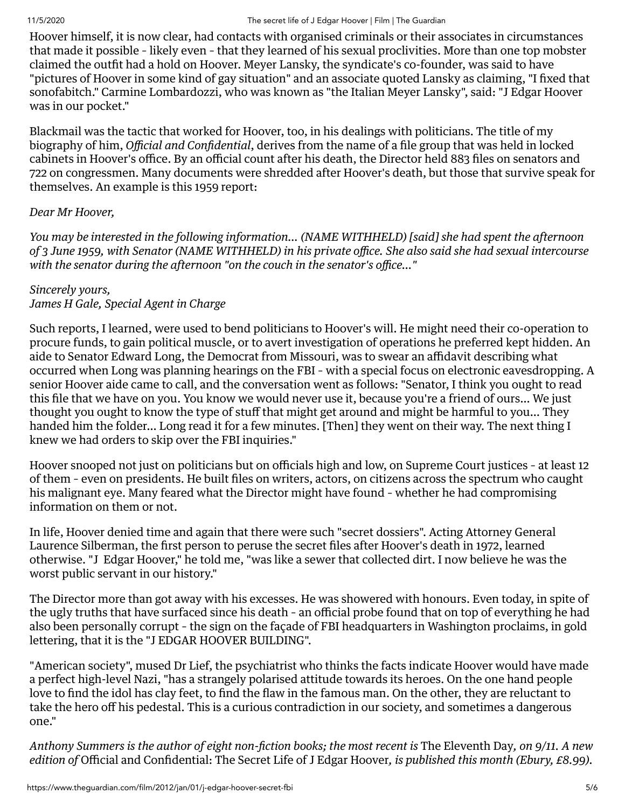Hoover himself, it is now clear, had contacts with organised criminals or their associates in circumstances that made it possible – likely even – that they learned of his sexual proclivities. More than one top mobster claimed the outfit had a hold on Hoover. Meyer Lansky, the syndicate's co-founder, was said to have "pictures of Hoover in some kind of gay situation" and an associate quoted Lansky as claiming, "I fixed that sonofabitch." Carmine Lombardozzi, who was known as "the Italian Meyer Lansky", said: "J Edgar Hoover was in our pocket."

Blackmail was the tactic that worked for Hoover, too, in his dealings with politicians. The title of my biography of him, *Official and Confidential*, derives from the name of a file group that was held in locked cabinets in Hoover's office. By an official count after his death, the Director held 883 files on senators and 722 on congressmen. Many documents were shredded after Hoover's death, but those that survive speak for themselves. An example is this 1959 report:

# *Dear Mr Hoover,*

*You may be interested in the following information… (NAME WITHHELD) [said] she had spent the afternoon* of 3 June 1959, with Senator (NAME WITHHELD) in his private office. She also said she had sexual intercourse *with the senator during the afternoon "on the couch in the senator's office…"*

# *Sincerely yours,*

# *James H Gale, Special Agent in Charge*

Such reports, I learned, were used to bend politicians to Hoover's will. He might need their co-operation to procure funds, to gain political muscle, or to avert investigation of operations he preferred kept hidden. An aide to Senator Edward Long, the Democrat from Missouri, was to swear an affidavit describing what occurred when Long was planning hearings on the FBI – with a special focus on electronic eavesdropping. A senior Hoover aide came to call, and the conversation went as follows: "Senator, I think you ought to read this file that we have on you. You know we would never use it, because you're a friend of ours… We just thought you ought to know the type of stuff that might get around and might be harmful to you… They handed him the folder… Long read it for a few minutes. [Then] they went on their way. The next thing I knew we had orders to skip over the FBI inquiries."

Hoover snooped not just on politicians but on officials high and low, on Supreme Court justices – at least 12 of them – even on presidents. He built files on writers, actors, on citizens across the spectrum who caught his malignant eye. Many feared what the Director might have found – whether he had compromising information on them or not.

In life, Hoover denied time and again that there were such "secret dossiers". Acting Attorney General Laurence Silberman, the first person to peruse the secret files after Hoover's death in 1972, learned otherwise. "J Edgar Hoover," he told me, "was like a sewer that collected dirt. I now believe he was the worst public servant in our history."

The Director more than got away with his excesses. He was showered with honours. Even today, in spite of the ugly truths that have surfaced since his death – an official probe found that on top of everything he had also been personally corrupt – the sign on the façade of FBI headquarters in Washington proclaims, in gold lettering, that it is the "J EDGAR HOOVER BUILDING".

"American society", mused Dr Lief, the psychiatrist who thinks the facts indicate Hoover would have made a perfect high-level Nazi, "has a strangely polarised attitude towards its heroes. On the one hand people love to find the idol has clay feet, to find the flaw in the famous man. On the other, they are reluctant to take the hero off his pedestal. This is a curious contradiction in our society, and sometimes a dangerous one."

Anthony Summers is the author of eight non-fiction books; the most recent is The Eleventh Day, on 9/11. A new *edition of* Official and Confidential: The Secret Life of J Edgar Hoover*, is published this month (Ebury, £8.99).*